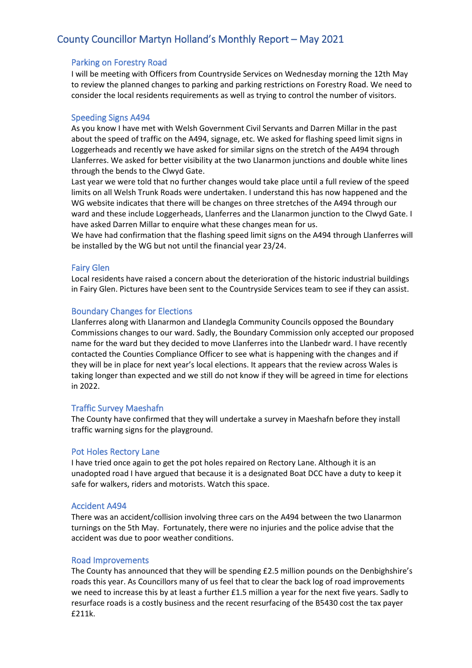# County Councillor Martyn Holland's Monthly Report – May 2021

## Parking on Forestry Road

I will be meeting with Officers from Countryside Services on Wednesday morning the 12th May to review the planned changes to parking and parking restrictions on Forestry Road. We need to consider the local residents requirements as well as trying to control the number of visitors.

## Speeding Signs A494

As you know I have met with Welsh Government Civil Servants and Darren Millar in the past about the speed of traffic on the A494, signage, etc. We asked for flashing speed limit signs in Loggerheads and recently we have asked for similar signs on the stretch of the A494 through Llanferres. We asked for better visibility at the two Llanarmon junctions and double white lines through the bends to the Clwyd Gate.

Last year we were told that no further changes would take place until a full review of the speed limits on all Welsh Trunk Roads were undertaken. I understand this has now happened and the WG website indicates that there will be changes on three stretches of the A494 through our ward and these include Loggerheads, Llanferres and the Llanarmon junction to the Clwyd Gate. I have asked Darren Millar to enquire what these changes mean for us.

We have had confirmation that the flashing speed limit signs on the A494 through Llanferres will be installed by the WG but not until the financial year 23/24.

#### Fairy Glen

Local residents have raised a concern about the deterioration of the historic industrial buildings in Fairy Glen. Pictures have been sent to the Countryside Services team to see if they can assist.

#### Boundary Changes for Elections

Llanferres along with Llanarmon and Llandegla Community Councils opposed the Boundary Commissions changes to our ward. Sadly, the Boundary Commission only accepted our proposed name for the ward but they decided to move Llanferres into the Llanbedr ward. I have recently contacted the Counties Compliance Officer to see what is happening with the changes and if they will be in place for next year's local elections. It appears that the review across Wales is taking longer than expected and we still do not know if they will be agreed in time for elections in 2022.

#### Traffic Survey Maeshafn

The County have confirmed that they will undertake a survey in Maeshafn before they install traffic warning signs for the playground.

#### Pot Holes Rectory Lane

I have tried once again to get the pot holes repaired on Rectory Lane. Although it is an unadopted road I have argued that because it is a designated Boat DCC have a duty to keep it safe for walkers, riders and motorists. Watch this space.

#### Accident A494

There was an accident/collision involving three cars on the A494 between the two Llanarmon turnings on the 5th May. Fortunately, there were no injuries and the police advise that the accident was due to poor weather conditions.

#### Road Improvements

The County has announced that they will be spending £2.5 million pounds on the Denbighshire's roads this year. As Councillors many of us feel that to clear the back log of road improvements we need to increase this by at least a further £1.5 million a year for the next five years. Sadly to resurface roads is a costly business and the recent resurfacing of the B5430 cost the tax payer £211k.